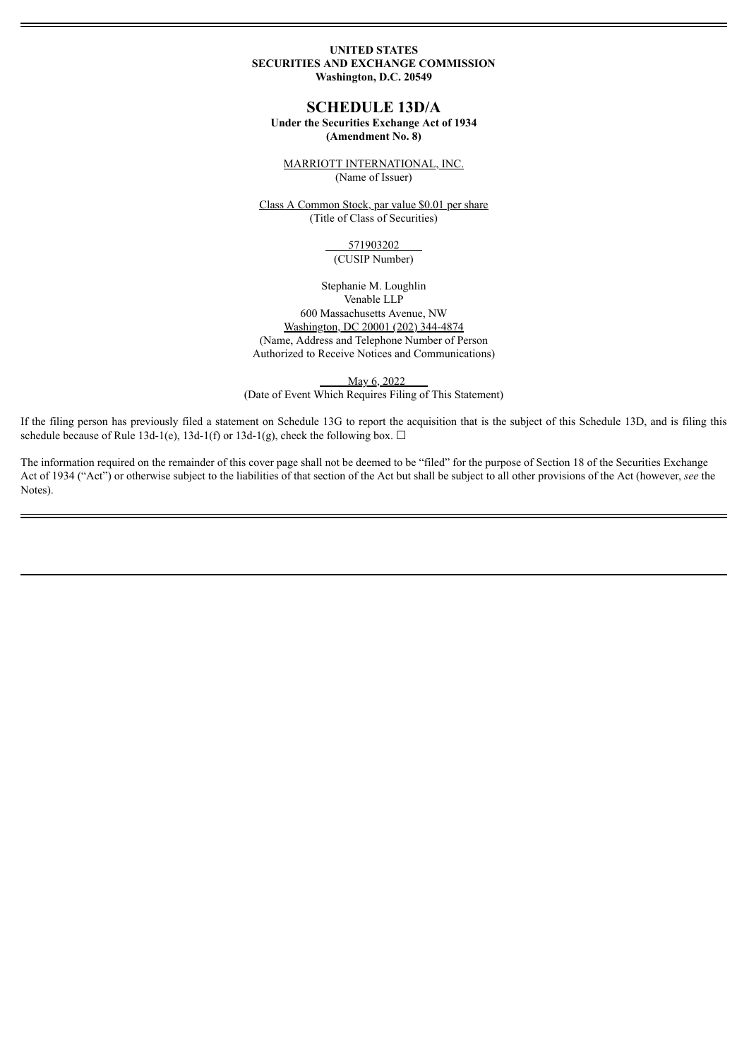### **UNITED STATES SECURITIES AND EXCHANGE COMMISSION Washington, D.C. 20549**

# **SCHEDULE 13D/A**

# **Under the Securities Exchange Act of 1934**

# **(Amendment No. 8)**

MARRIOTT INTERNATIONAL, INC. (Name of Issuer)

Class A Common Stock, par value \$0.01 per share (Title of Class of Securities)

#### 571903202 (CUSIP Number)

Stephanie M. Loughlin Venable LLP 600 Massachusetts Avenue, NW Washington, DC 20001 (202) 344-4874 (Name, Address and Telephone Number of Person Authorized to Receive Notices and Communications)

May 6, 2022 (Date of Event Which Requires Filing of This Statement)

If the filing person has previously filed a statement on Schedule 13G to report the acquisition that is the subject of this Schedule 13D, and is filing this schedule because of Rule 13d-1(e), 13d-1(f) or 13d-1(g), check the following box.  $\Box$ 

The information required on the remainder of this cover page shall not be deemed to be "filed" for the purpose of Section 18 of the Securities Exchange Act of 1934 ("Act") or otherwise subject to the liabilities of that section of the Act but shall be subject to all other provisions of the Act (however, see the Notes).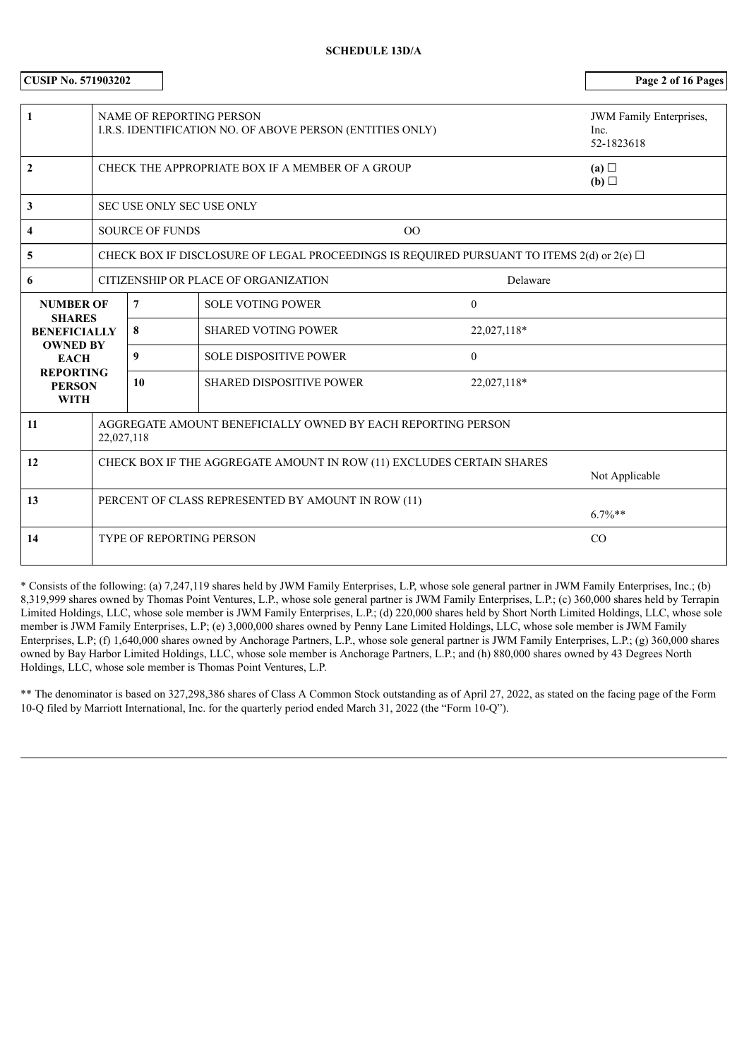# **SCHEDULE 13D/A**

| <b>CUSIP No. 571903202</b>                              |                                                                            |                        |                | Page 2 of 16 Pages                                                                             |                |                                |
|---------------------------------------------------------|----------------------------------------------------------------------------|------------------------|----------------|------------------------------------------------------------------------------------------------|----------------|--------------------------------|
|                                                         |                                                                            |                        |                |                                                                                                |                |                                |
| $\mathbf{1}$                                            |                                                                            |                        |                | <b>NAME OF REPORTING PERSON</b>                                                                |                | <b>JWM</b> Family Enterprises, |
|                                                         | I.R.S. IDENTIFICATION NO. OF ABOVE PERSON (ENTITIES ONLY)                  |                        |                | Inc.<br>52-1823618                                                                             |                |                                |
|                                                         |                                                                            |                        |                |                                                                                                |                |                                |
| $\overline{2}$                                          |                                                                            |                        |                | CHECK THE APPROPRIATE BOX IF A MEMBER OF A GROUP                                               |                | (a)<br>(b)                     |
| $\mathbf{3}$                                            |                                                                            |                        |                | SEC USE ONLY SEC USE ONLY                                                                      |                |                                |
|                                                         |                                                                            |                        |                |                                                                                                |                |                                |
| 4                                                       |                                                                            | <b>SOURCE OF FUNDS</b> |                |                                                                                                | OO             |                                |
| 5                                                       |                                                                            |                        |                | CHECK BOX IF DISCLOSURE OF LEGAL PROCEEDINGS IS REQUIRED PURSUANT TO ITEMS 2(d) or 2(e) $\Box$ |                |                                |
| 6                                                       |                                                                            |                        |                | CITIZENSHIP OR PLACE OF ORGANIZATION                                                           | Delaware       |                                |
| <b>NUMBER OF</b>                                        |                                                                            | $\overline{7}$         |                | <b>SOLE VOTING POWER</b>                                                                       | $\overline{0}$ |                                |
| <b>SHARES</b><br><b>BENEFICIALLY</b><br><b>OWNED BY</b> |                                                                            | 8                      |                | <b>SHARED VOTING POWER</b>                                                                     | 22,027,118*    |                                |
| <b>EACH</b>                                             |                                                                            | 9                      |                | <b>SOLE DISPOSITIVE POWER</b>                                                                  | $\overline{0}$ |                                |
| <b>REPORTING</b><br><b>PERSON</b>                       |                                                                            | 10                     |                | <b>SHARED DISPOSITIVE POWER</b>                                                                | 22,027,118*    |                                |
| <b>WITH</b>                                             |                                                                            |                        |                |                                                                                                |                |                                |
| <b>11</b>                                               | AGGREGATE AMOUNT BENEFICIALLY OWNED BY EACH REPORTING PERSON<br>22,027,118 |                        |                |                                                                                                |                |                                |
| 12                                                      | CHECK BOX IF THE AGGREGATE AMOUNT IN ROW (11) EXCLUDES CERTAIN SHARES      |                        |                |                                                                                                |                |                                |
|                                                         |                                                                            |                        | Not Applicable |                                                                                                |                |                                |
| 13                                                      |                                                                            |                        |                | PERCENT OF CLASS REPRESENTED BY AMOUNT IN ROW (11)                                             |                |                                |
|                                                         |                                                                            |                        |                |                                                                                                |                | $6.7\%**$                      |
| 14                                                      |                                                                            |                        |                | <b>TYPE OF REPORTING PERSON</b>                                                                |                | CO                             |
|                                                         |                                                                            |                        |                |                                                                                                |                |                                |

\* Consists of the following: (a) 7,247,119 shares held by JWM Family Enterprises, L.P, whose sole general partner in JWM Family Enterprises, Inc.; (b) 8,319,999 shares owned by Thomas Point Ventures, L.P., whose sole general partner is JWM Family Enterprises, L.P.; (c) 360,000 shares held by Terrapin Limited Holdings, LLC, whose sole member is JWM Family Enterprises, L.P.; (d) 220,000 shares held by Short North Limited Holdings, LLC, whose sole member is JWM Family Enterprises, L.P; (e) 3,000,000 shares owned by Penny Lane Limited Holdings, LLC, whose sole member is JWM Family Enterprises, L.P; (f) 1,640,000 shares owned by Anchorage Partners, L.P., whose sole general partner is JWM Family Enterprises, L.P.; (g) 360,000 shares owned by Bay Harbor Limited Holdings, LLC, whose sole member is Anchorage Partners, L.P.; and (h) 880,000 shares owned by 43 Degrees North Holdings, LLC, whose sole member is Thomas Point Ventures, L.P.

\*\* The denominator is based on 327,298,386 shares of Class A Common Stock outstanding as of April 27, 2022, as stated on the facing page of the Form 10-Q filed by Marriott International, Inc. for the quarterly period ended March 31, 2022 (the "Form 10-Q").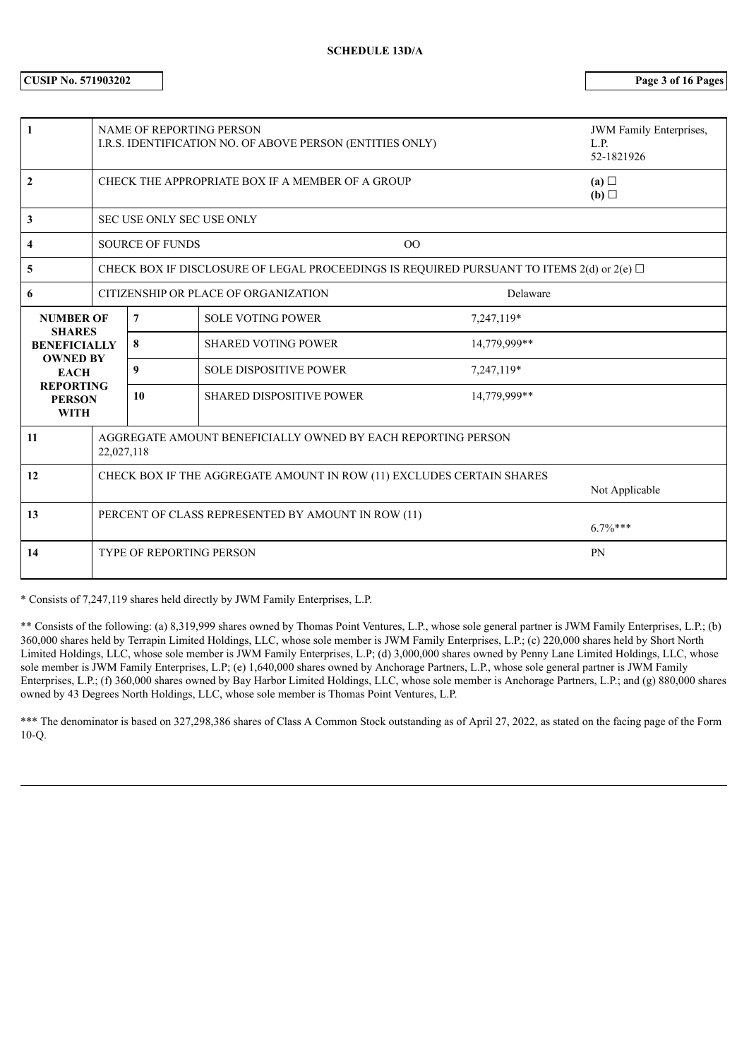# **CUSIP No. 571903202 Page 3 of 16 Pages**

| 1                                                |                                                                                         | <b>NAME OF REPORTING PERSON</b><br>I.R.S. IDENTIFICATION NO. OF ABOVE PERSON (ENTITIES ONLY) |                                                                                                    | <b>JWM</b> Family Enterprises,<br>L.P.<br>52-1821926 |                   |  |
|--------------------------------------------------|-----------------------------------------------------------------------------------------|----------------------------------------------------------------------------------------------|----------------------------------------------------------------------------------------------------|------------------------------------------------------|-------------------|--|
| 2                                                |                                                                                         |                                                                                              | CHECK THE APPROPRIATE BOX IF A MEMBER OF A GROUP                                                   |                                                      | (a)<br>(b) $\Box$ |  |
| 3                                                |                                                                                         | SEC USE ONLY SEC USE ONLY                                                                    |                                                                                                    |                                                      |                   |  |
| 4                                                |                                                                                         | <b>SOURCE OF FUNDS</b>                                                                       |                                                                                                    | 00                                                   |                   |  |
| 5                                                |                                                                                         |                                                                                              | CHECK BOX IF DISCLOSURE OF LEGAL PROCEEDINGS IS REQUIRED PURSUANT TO ITEMS $2(d)$ or $2(e)$ $\Box$ |                                                      |                   |  |
| 6                                                | CITIZENSHIP OR PLACE OF ORGANIZATION<br>Delaware                                        |                                                                                              |                                                                                                    |                                                      |                   |  |
| <b>NUMBER OF</b><br><b>SHARES</b>                |                                                                                         | 7                                                                                            | <b>SOLE VOTING POWER</b>                                                                           | 7,247,119*                                           |                   |  |
| <b>BENEFICIALLY</b>                              |                                                                                         | 8                                                                                            | <b>SHARED VOTING POWER</b>                                                                         | 14,779,999**                                         |                   |  |
| <b>OWNED BY</b><br><b>EACH</b>                   |                                                                                         | 9                                                                                            | <b>SOLE DISPOSITIVE POWER</b>                                                                      | 7,247,119*                                           |                   |  |
| <b>REPORTING</b><br><b>PERSON</b><br><b>WITH</b> |                                                                                         | 10                                                                                           | <b>SHARED DISPOSITIVE POWER</b>                                                                    | 14,779,999**                                         |                   |  |
| 11                                               |                                                                                         | AGGREGATE AMOUNT BENEFICIALLY OWNED BY EACH REPORTING PERSON<br>22,027,118                   |                                                                                                    |                                                      |                   |  |
| 12                                               | CHECK BOX IF THE AGGREGATE AMOUNT IN ROW (11) EXCLUDES CERTAIN SHARES<br>Not Applicable |                                                                                              |                                                                                                    |                                                      |                   |  |
| 13                                               |                                                                                         | PERCENT OF CLASS REPRESENTED BY AMOUNT IN ROW (11)<br>$6.7\%***$                             |                                                                                                    |                                                      |                   |  |
| 14                                               |                                                                                         | <b>TYPE OF REPORTING PERSON</b>                                                              |                                                                                                    |                                                      | <b>PN</b>         |  |

\* Consists of 7,247,119 shares held directly by JWM Family Enterprises, L.P.

\*\* Consists of the following: (a) 8,319,999 shares owned by Thomas Point Ventures, L.P., whose sole general partner is JWM Family Enterprises, L.P.; (b) 360,000 shares held by Terrapin Limited Holdings, LLC, whose sole member is JWM Family Enterprises, L.P.; (c) 220,000 shares held by Short North Limited Holdings, LLC, whose sole member is JWM Family Enterprises, L.P; (d) 3,000,000 shares owned by Penny Lane Limited Holdings, LLC, whose sole member is JWM Family Enterprises, L.P; (e) 1,640,000 shares owned by Anchorage Partners, L.P., whose sole general partner is JWM Family Enterprises, L.P.; (f) 360,000 shares owned by Bay Harbor Limited Holdings, LLC, whose sole member is Anchorage Partners, L.P.; and (g) 880,000 shares owned by 43 Degrees North Holdings, LLC, whose sole member is Thomas Point Ventures, L.P.

\*\*\* The denominator is based on 327,298,386 shares of Class A Common Stock outstanding as of April 27, 2022, as stated on the facing page of the Form 10-Q.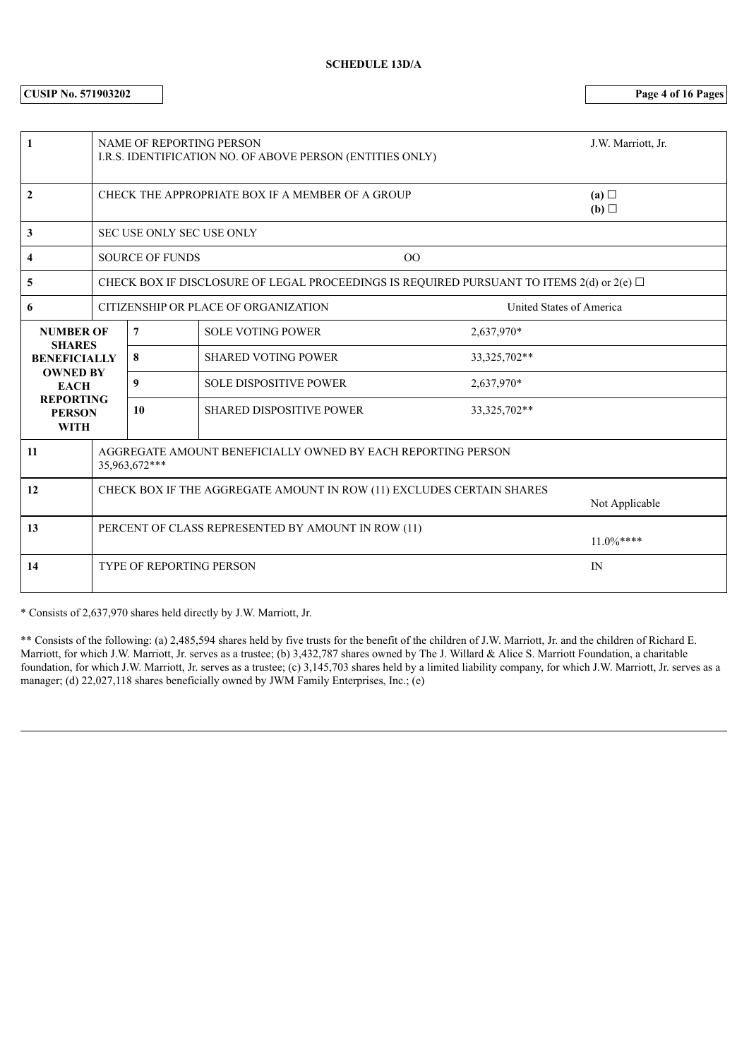**CUSIP No. 571903202 Page 4 of 16 Pages**

| 1                                                |                                                                                         | <b>NAME OF REPORTING PERSON</b><br>I.R.S. IDENTIFICATION NO. OF ABOVE PERSON (ENTITIES ONLY) |                                                                                                    | J.W. Marriott, Jr. |                   |  |
|--------------------------------------------------|-----------------------------------------------------------------------------------------|----------------------------------------------------------------------------------------------|----------------------------------------------------------------------------------------------------|--------------------|-------------------|--|
| $\mathbf{2}$                                     |                                                                                         |                                                                                              | CHECK THE APPROPRIATE BOX IF A MEMBER OF A GROUP                                                   |                    | (a)<br>(b) $\Box$ |  |
| 3                                                |                                                                                         | SEC USE ONLY SEC USE ONLY                                                                    |                                                                                                    |                    |                   |  |
| 4                                                |                                                                                         | <b>SOURCE OF FUNDS</b>                                                                       |                                                                                                    | 00                 |                   |  |
| 5                                                |                                                                                         |                                                                                              | CHECK BOX IF DISCLOSURE OF LEGAL PROCEEDINGS IS REQUIRED PURSUANT TO ITEMS $2(d)$ or $2(e)$ $\Box$ |                    |                   |  |
| 6                                                | CITIZENSHIP OR PLACE OF ORGANIZATION<br>United States of America                        |                                                                                              |                                                                                                    |                    |                   |  |
| <b>NUMBER OF</b>                                 |                                                                                         | $\overline{7}$                                                                               | <b>SOLE VOTING POWER</b>                                                                           | 2,637,970*         |                   |  |
| <b>SHARES</b><br><b>BENEFICIALLY</b>             |                                                                                         | 8                                                                                            | <b>SHARED VOTING POWER</b>                                                                         | 33, 325, 702**     |                   |  |
| <b>OWNED BY</b><br><b>EACH</b>                   |                                                                                         | 9                                                                                            | <b>SOLE DISPOSITIVE POWER</b>                                                                      | 2,637,970*         |                   |  |
| <b>REPORTING</b><br><b>PERSON</b><br><b>WITH</b> |                                                                                         | 10                                                                                           | <b>SHARED DISPOSITIVE POWER</b>                                                                    | 33, 325, 702**     |                   |  |
| 11                                               | AGGREGATE AMOUNT BENEFICIALLY OWNED BY EACH REPORTING PERSON<br>35,963,672***           |                                                                                              |                                                                                                    |                    |                   |  |
| 12                                               | CHECK BOX IF THE AGGREGATE AMOUNT IN ROW (11) EXCLUDES CERTAIN SHARES<br>Not Applicable |                                                                                              |                                                                                                    |                    |                   |  |
| 13                                               |                                                                                         | PERCENT OF CLASS REPRESENTED BY AMOUNT IN ROW (11)<br>$11.0\%***$                            |                                                                                                    |                    |                   |  |
| 14                                               |                                                                                         | <b>TYPE OF REPORTING PERSON</b>                                                              |                                                                                                    |                    | IN                |  |

\* Consists of 2,637,970 shares held directly by J.W. Marriott, Jr.

\*\* Consists of the following: (a) 2,485,594 shares held by five trusts for the benefit of the children of J.W. Marriott, Jr. and the children of Richard E. Marriott, for which J.W. Marriott, Jr. serves as a trustee; (b) 3,432,787 shares owned by The J. Willard & Alice S. Marriott Foundation, a charitable foundation, for which J.W. Marriott, Jr. serves as a trustee; (c) 3,145,703 shares held by a limited liability company, for which J.W. Marriott, Jr. serves as a manager; (d) 22,027,118 shares beneficially owned by JWM Family Enterprises, Inc.; (e)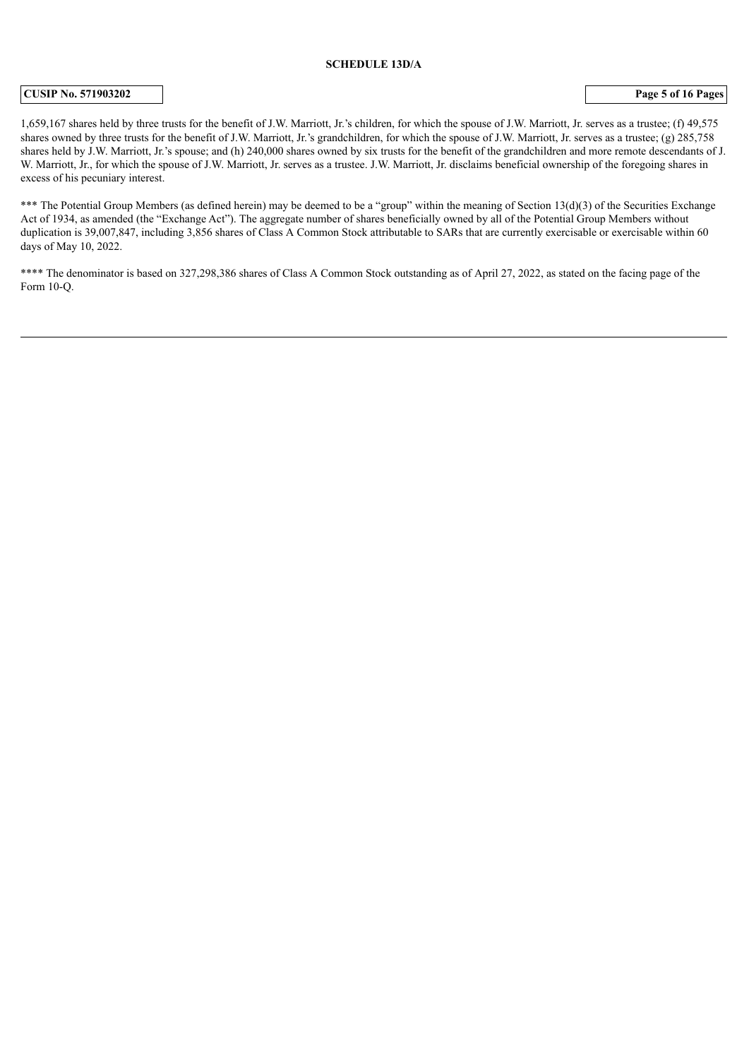#### **SCHEDULE 13D/A**

#### **CUSIP No. 571903202 Page 5 of 16 Pages**

1,659,167 shares held by three trusts for the benefit of J.W. Marriott, Jr.'s children, for which the spouse of J.W. Marriott, Jr. serves as a trustee; (f) 49,575 shares owned by three trusts for the benefit of J.W. Marriott, Jr.'s grandchildren, for which the spouse of J.W. Marriott, Jr. serves as a trustee; (g) 285,758 shares held by J.W. Marriott, Jr.'s spouse; and (h) 240,000 shares owned by six trusts for the benefit of the grandchildren and more remote descendants of J. W. Marriott, Jr., for which the spouse of J.W. Marriott, Jr. serves as a trustee. J.W. Marriott, Jr. disclaims beneficial ownership of the foregoing shares in excess of his pecuniary interest.

\*\*\* The Potential Group Members (as defined herein) may be deemed to be a "group" within the meaning of Section 13(d)(3) of the Securities Exchange Act of 1934, as amended (the "Exchange Act"). The aggregate number of shares beneficially owned by all of the Potential Group Members without duplication is 39,007,847, including 3,856 shares of Class A Common Stock attributable to SARs that are currently exercisable or exercisable within 60 days of May 10, 2022.

\*\*\*\* The denominator is based on 327,298,386 shares of Class A Common Stock outstanding as of April 27, 2022, as stated on the facing page of the Form  $10-<sub>o</sub>$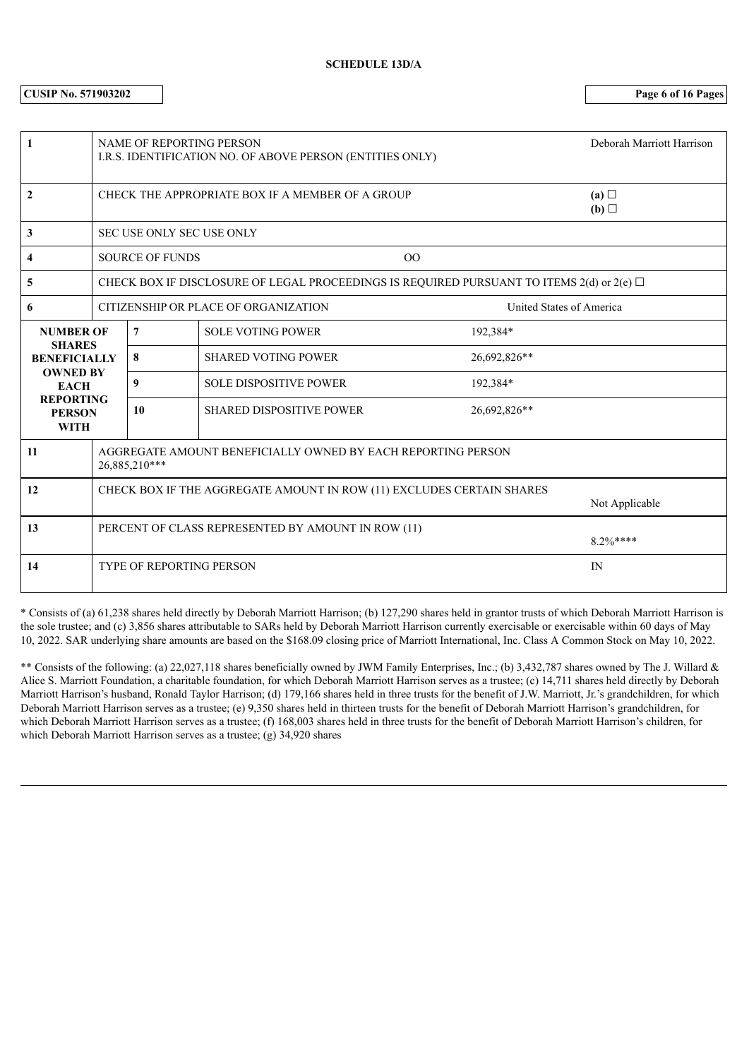**CUSIP No. 571903202 Page 6 of 16 Pages**

| 1                                                |                                                                                         | <b>NAME OF REPORTING PERSON</b><br>I.R.S. IDENTIFICATION NO. OF ABOVE PERSON (ENTITIES ONLY) | Deborah Marriott Harrison                        |                                                                                                |  |
|--------------------------------------------------|-----------------------------------------------------------------------------------------|----------------------------------------------------------------------------------------------|--------------------------------------------------|------------------------------------------------------------------------------------------------|--|
| $\mathbf{2}$                                     |                                                                                         |                                                                                              | CHECK THE APPROPRIATE BOX IF A MEMBER OF A GROUP | (a)<br>(b)                                                                                     |  |
| 3                                                |                                                                                         | <b>SEC USE ONLY SEC USE ONLY</b>                                                             |                                                  |                                                                                                |  |
| 4                                                |                                                                                         | <b>SOURCE OF FUNDS</b>                                                                       | O <sub>O</sub>                                   |                                                                                                |  |
| 5                                                |                                                                                         |                                                                                              |                                                  | CHECK BOX IF DISCLOSURE OF LEGAL PROCEEDINGS IS REQUIRED PURSUANT TO ITEMS 2(d) or 2(e) $\Box$ |  |
| 6                                                |                                                                                         | CITIZENSHIP OR PLACE OF ORGANIZATION                                                         | United States of America                         |                                                                                                |  |
| <b>NUMBER OF</b><br><b>SHARES</b>                |                                                                                         | $\overline{7}$                                                                               | <b>SOLE VOTING POWER</b>                         | 192,384*                                                                                       |  |
| <b>BENEFICIALLY</b>                              |                                                                                         | 8                                                                                            | <b>SHARED VOTING POWER</b>                       | 26,692,826**                                                                                   |  |
| <b>OWNED BY</b><br><b>EACH</b>                   |                                                                                         | 9                                                                                            | <b>SOLE DISPOSITIVE POWER</b>                    | 192,384*                                                                                       |  |
| <b>REPORTING</b><br><b>PERSON</b><br><b>WITH</b> |                                                                                         | 10                                                                                           | <b>SHARED DISPOSITIVE POWER</b>                  | 26,692,826**                                                                                   |  |
| 11                                               | AGGREGATE AMOUNT BENEFICIALLY OWNED BY EACH REPORTING PERSON<br>26,885,210***           |                                                                                              |                                                  |                                                                                                |  |
| 12                                               | CHECK BOX IF THE AGGREGATE AMOUNT IN ROW (11) EXCLUDES CERTAIN SHARES<br>Not Applicable |                                                                                              |                                                  |                                                                                                |  |
| 13                                               | PERCENT OF CLASS REPRESENTED BY AMOUNT IN ROW (11)<br>$8.2\%***$                        |                                                                                              |                                                  |                                                                                                |  |
| 14                                               |                                                                                         | <b>TYPE OF REPORTING PERSON</b>                                                              |                                                  | IN                                                                                             |  |

\* Consists of (a) 61,238 shares held directly by Deborah Marriott Harrison; (b) 127,290 shares held in grantor trusts of which Deborah Marriott Harrison is the sole trustee; and (c) 3,856 shares attributable to SARs held by Deborah Marriott Harrison currently exercisable or exercisable within 60 days of May 10, 2022. SAR underlying share amounts are based on the \$168.09 closing price of Marriott International, Inc. Class A Common Stock on May 10, 2022.

\*\* Consists of the following: (a) 22,027,118 shares beneficially owned by JWM Family Enterprises, Inc.; (b) 3,432,787 shares owned by The J. Willard & Alice S. Marriott Foundation, a charitable foundation, for which Deborah Marriott Harrison serves as a trustee; (c) 14,711 shares held directly by Deborah Marriott Harrison's husband, Ronald Taylor Harrison; (d) 179,166 shares held in three trusts for the benefit of J.W. Marriott, Jr.'s grandchildren, for which Deborah Marriott Harrison serves as a trustee; (e) 9,350 shares held in thirteen trusts for the benefit of Deborah Marriott Harrison's grandchildren, for which Deborah Marriott Harrison serves as a trustee; (f) 168,003 shares held in three trusts for the benefit of Deborah Marriott Harrison's children, for which Deborah Marriott Harrison serves as a trustee; (g) 34,920 shares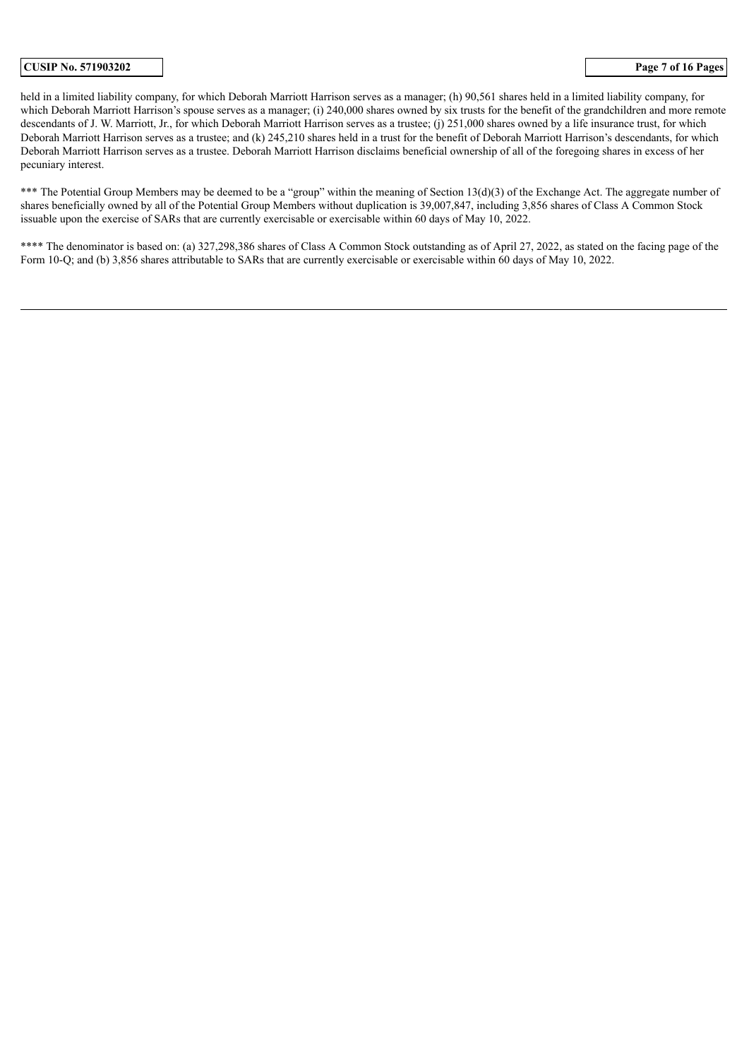#### **CUSIP No. 571903202 Page 7 of 16 Pages**

held in a limited liability company, for which Deborah Marriott Harrison serves as a manager; (h) 90,561 shares held in a limited liability company, for which Deborah Marriott Harrison's spouse serves as a manager; (i) 240,000 shares owned by six trusts for the benefit of the grandchildren and more remote descendants of J. W. Marriott, Jr., for which Deborah Marriott Harrison serves as a trustee; (j) 251,000 shares owned by a life insurance trust, for which Deborah Marriott Harrison serves as a trustee; and (k) 245,210 shares held in a trust for the benefit of Deborah Marriott Harrison's descendants, for which Deborah Marriott Harrison serves as a trustee. Deborah Marriott Harrison disclaims beneficial ownership of all of the foregoing shares in excess of her pecuniary interest.

\*\*\* The Potential Group Members may be deemed to be a "group" within the meaning of Section 13(d)(3) of the Exchange Act. The aggregate number of shares beneficially owned by all of the Potential Group Members without duplication is 39,007,847, including 3,856 shares of Class A Common Stock issuable upon the exercise of SARs that are currently exercisable or exercisable within 60 days of May 10, 2022.

\*\*\*\* The denominator is based on: (a) 327,298,386 shares of Class A Common Stock outstanding as of April 27, 2022, as stated on the facing page of the Form 10-Q; and (b) 3,856 shares attributable to SARs that are currently exercisable or exercisable within 60 days of May 10, 2022.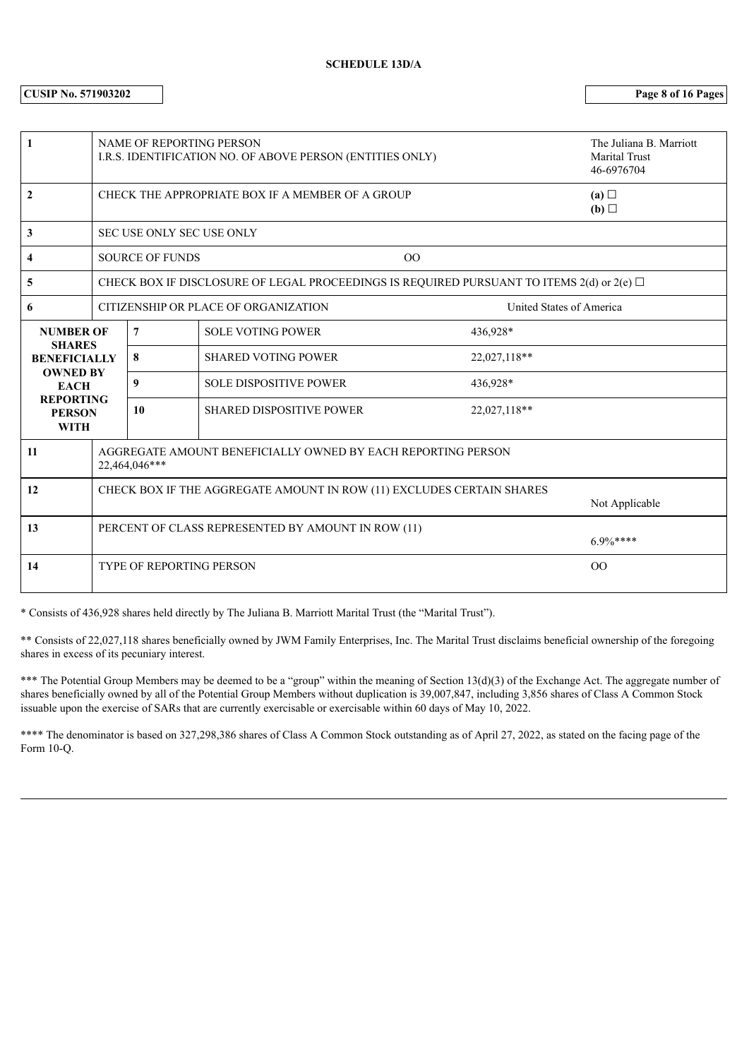**CUSIP No. 571903202 Page 8 of 16 Pages**

| 1                                                |                                                                                         | <b>NAME OF REPORTING PERSON</b><br>I.R.S. IDENTIFICATION NO. OF ABOVE PERSON (ENTITIES ONLY) |                                                                                                    | The Juliana B. Marriott<br><b>Marital Trust</b><br>46-6976704 |                          |  |
|--------------------------------------------------|-----------------------------------------------------------------------------------------|----------------------------------------------------------------------------------------------|----------------------------------------------------------------------------------------------------|---------------------------------------------------------------|--------------------------|--|
| $\overline{2}$                                   |                                                                                         |                                                                                              | CHECK THE APPROPRIATE BOX IF A MEMBER OF A GROUP                                                   |                                                               | (a)<br>(b)               |  |
| 3                                                |                                                                                         | SEC USE ONLY SEC USE ONLY                                                                    |                                                                                                    |                                                               |                          |  |
| 4                                                |                                                                                         | <b>SOURCE OF FUNDS</b>                                                                       | O <sub>O</sub>                                                                                     |                                                               |                          |  |
| 5                                                |                                                                                         |                                                                                              | CHECK BOX IF DISCLOSURE OF LEGAL PROCEEDINGS IS REQUIRED PURSUANT TO ITEMS $2(d)$ or $2(e)$ $\Box$ |                                                               |                          |  |
| 6                                                | CITIZENSHIP OR PLACE OF ORGANIZATION                                                    |                                                                                              |                                                                                                    |                                                               | United States of America |  |
| <b>NUMBER OF</b><br><b>SHARES</b>                |                                                                                         | $7\phantom{.0}$                                                                              | <b>SOLE VOTING POWER</b>                                                                           | 436,928*                                                      |                          |  |
| <b>BENEFICIALLY</b>                              |                                                                                         | 8                                                                                            | <b>SHARED VOTING POWER</b>                                                                         | 22,027,118**                                                  |                          |  |
| <b>OWNED BY</b><br><b>EACH</b>                   |                                                                                         | 9                                                                                            | <b>SOLE DISPOSITIVE POWER</b>                                                                      | 436,928*                                                      |                          |  |
| <b>REPORTING</b><br><b>PERSON</b><br><b>WITH</b> |                                                                                         | 10                                                                                           | <b>SHARED DISPOSITIVE POWER</b>                                                                    | 22,027,118**                                                  |                          |  |
| 11                                               | AGGREGATE AMOUNT BENEFICIALLY OWNED BY EACH REPORTING PERSON<br>22,464,046***           |                                                                                              |                                                                                                    |                                                               |                          |  |
| 12                                               | CHECK BOX IF THE AGGREGATE AMOUNT IN ROW (11) EXCLUDES CERTAIN SHARES<br>Not Applicable |                                                                                              |                                                                                                    |                                                               |                          |  |
| 13                                               |                                                                                         | PERCENT OF CLASS REPRESENTED BY AMOUNT IN ROW (11)<br>$6.9\%***$                             |                                                                                                    |                                                               |                          |  |
| 14                                               |                                                                                         | <b>TYPE OF REPORTING PERSON</b>                                                              |                                                                                                    |                                                               | 00                       |  |

\* Consists of 436,928 shares held directly by The Juliana B. Marriott Marital Trust (the "Marital Trust").

\*\* Consists of 22,027,118 shares beneficially owned by JWM Family Enterprises, Inc. The Marital Trust disclaims beneficial ownership of the foregoing shares in excess of its pecuniary interest.

\*\*\* The Potential Group Members may be deemed to be a "group" within the meaning of Section 13(d)(3) of the Exchange Act. The aggregate number of shares beneficially owned by all of the Potential Group Members without duplication is 39,007,847, including 3,856 shares of Class A Common Stock issuable upon the exercise of SARs that are currently exercisable or exercisable within 60 days of May 10, 2022.

\*\*\*\* The denominator is based on 327,298,386 shares of Class A Common Stock outstanding as of April 27, 2022, as stated on the facing page of the Form 10-Q.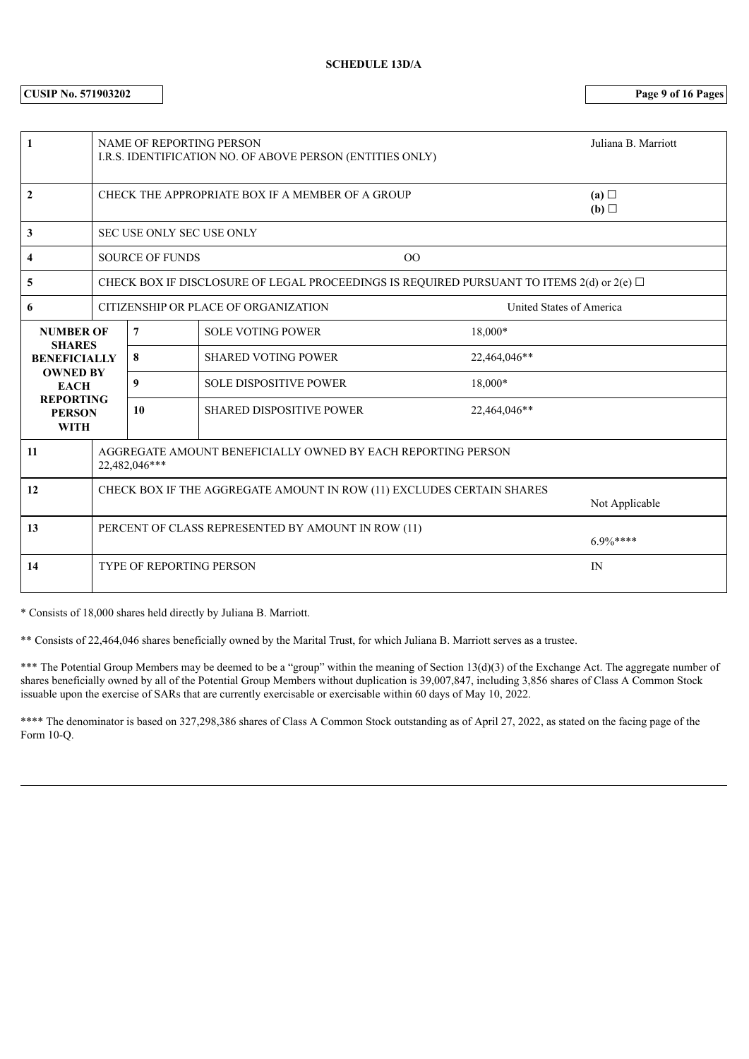**CUSIP No. 571903202 Page 9 of 16 Pages**

| 1                                                |                                                                                         | NAME OF REPORTING PERSON<br>I.R.S. IDENTIFICATION NO. OF ABOVE PERSON (ENTITIES ONLY) |                                                                                                    | Juliana B. Marriott |                          |  |
|--------------------------------------------------|-----------------------------------------------------------------------------------------|---------------------------------------------------------------------------------------|----------------------------------------------------------------------------------------------------|---------------------|--------------------------|--|
| $\mathbf{2}$                                     |                                                                                         |                                                                                       | CHECK THE APPROPRIATE BOX IF A MEMBER OF A GROUP                                                   |                     | (a)<br>(b) $\Box$        |  |
| 3                                                |                                                                                         | <b>SEC USE ONLY SEC USE ONLY</b>                                                      |                                                                                                    |                     |                          |  |
| 4                                                |                                                                                         | <b>SOURCE OF FUNDS</b>                                                                |                                                                                                    | 00                  |                          |  |
| 5                                                |                                                                                         |                                                                                       | CHECK BOX IF DISCLOSURE OF LEGAL PROCEEDINGS IS REQUIRED PURSUANT TO ITEMS $2(d)$ or $2(e)$ $\Box$ |                     |                          |  |
| 6                                                | CITIZENSHIP OR PLACE OF ORGANIZATION                                                    |                                                                                       |                                                                                                    |                     | United States of America |  |
| <b>NUMBER OF</b>                                 |                                                                                         | $\overline{7}$                                                                        | <b>SOLE VOTING POWER</b>                                                                           | 18,000*             |                          |  |
| <b>SHARES</b><br><b>BENEFICIALLY</b>             |                                                                                         | 8                                                                                     | <b>SHARED VOTING POWER</b>                                                                         | 22,464,046**        |                          |  |
| <b>OWNED BY</b><br><b>EACH</b>                   |                                                                                         | 9                                                                                     | <b>SOLE DISPOSITIVE POWER</b>                                                                      | 18,000*             |                          |  |
| <b>REPORTING</b><br><b>PERSON</b><br><b>WITH</b> |                                                                                         | 10                                                                                    | <b>SHARED DISPOSITIVE POWER</b>                                                                    | 22,464,046**        |                          |  |
| 11                                               | AGGREGATE AMOUNT BENEFICIALLY OWNED BY EACH REPORTING PERSON<br>22,482,046***           |                                                                                       |                                                                                                    |                     |                          |  |
| 12                                               | CHECK BOX IF THE AGGREGATE AMOUNT IN ROW (11) EXCLUDES CERTAIN SHARES<br>Not Applicable |                                                                                       |                                                                                                    |                     |                          |  |
| 13                                               |                                                                                         | PERCENT OF CLASS REPRESENTED BY AMOUNT IN ROW (11)<br>$6.9\%***$                      |                                                                                                    |                     |                          |  |
| 14                                               |                                                                                         | <b>TYPE OF REPORTING PERSON</b>                                                       |                                                                                                    |                     | IN                       |  |

\* Consists of 18,000 shares held directly by Juliana B. Marriott.

\*\* Consists of 22,464,046 shares beneficially owned by the Marital Trust, for which Juliana B. Marriott serves as a trustee.

\*\*\* The Potential Group Members may be deemed to be a "group" within the meaning of Section 13(d)(3) of the Exchange Act. The aggregate number of shares beneficially owned by all of the Potential Group Members without duplication is 39,007,847, including 3,856 shares of Class A Common Stock issuable upon the exercise of SARs that are currently exercisable or exercisable within 60 days of May 10, 2022.

\*\*\*\* The denominator is based on 327,298,386 shares of Class A Common Stock outstanding as of April 27, 2022, as stated on the facing page of the Form 10-Q.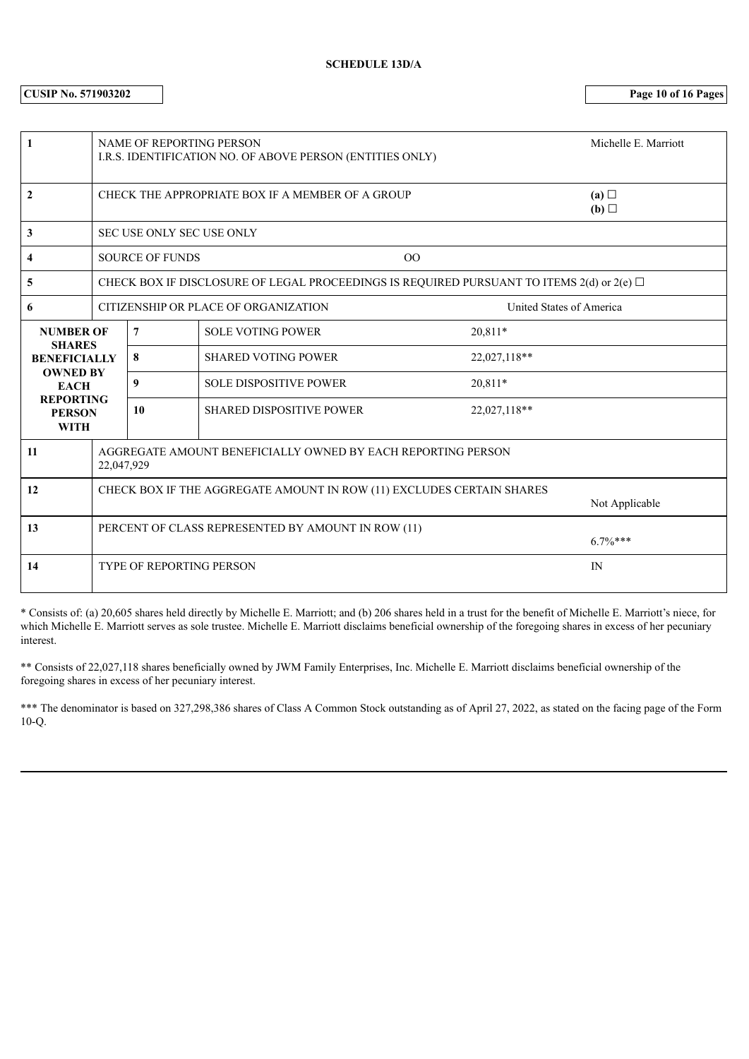**CUSIP No. 571903202 Page 10 of 16 Pages**

| 1                                                |                                                                                         | NAME OF REPORTING PERSON         | I.R.S. IDENTIFICATION NO. OF ABOVE PERSON (ENTITIES ONLY)                                 |                | Michelle E. Marriott |
|--------------------------------------------------|-----------------------------------------------------------------------------------------|----------------------------------|-------------------------------------------------------------------------------------------|----------------|----------------------|
| $\mathbf{2}$                                     |                                                                                         |                                  | CHECK THE APPROPRIATE BOX IF A MEMBER OF A GROUP                                          |                | (a)<br>(b) $\Box$    |
| 3                                                |                                                                                         | <b>SEC USE ONLY SEC USE ONLY</b> |                                                                                           |                |                      |
| 4                                                |                                                                                         | <b>SOURCE OF FUNDS</b>           |                                                                                           | O <sub>O</sub> |                      |
| 5                                                |                                                                                         |                                  | CHECK BOX IF DISCLOSURE OF LEGAL PROCEEDINGS IS REQUIRED PURSUANT TO ITEMS 2(d) or 2(e) □ |                |                      |
| 6                                                | CITIZENSHIP OR PLACE OF ORGANIZATION<br>United States of America                        |                                  |                                                                                           |                |                      |
| <b>NUMBER OF</b>                                 |                                                                                         | $\overline{7}$                   | <b>SOLE VOTING POWER</b>                                                                  | 20,811*        |                      |
| <b>SHARES</b><br><b>BENEFICIALLY</b>             |                                                                                         | 8                                | <b>SHARED VOTING POWER</b>                                                                | 22,027,118**   |                      |
| <b>OWNED BY</b><br><b>EACH</b>                   |                                                                                         | 9                                | <b>SOLE DISPOSITIVE POWER</b>                                                             | 20,811*        |                      |
| <b>REPORTING</b><br><b>PERSON</b><br><b>WITH</b> |                                                                                         | 10                               | <b>SHARED DISPOSITIVE POWER</b>                                                           | 22,027,118**   |                      |
| 11                                               | AGGREGATE AMOUNT BENEFICIALLY OWNED BY EACH REPORTING PERSON<br>22,047,929              |                                  |                                                                                           |                |                      |
| 12                                               | CHECK BOX IF THE AGGREGATE AMOUNT IN ROW (11) EXCLUDES CERTAIN SHARES<br>Not Applicable |                                  |                                                                                           |                |                      |
| 13                                               | PERCENT OF CLASS REPRESENTED BY AMOUNT IN ROW (11)<br>$6.7\%***$                        |                                  |                                                                                           |                |                      |
| 14                                               |                                                                                         | <b>TYPE OF REPORTING PERSON</b>  |                                                                                           |                | IN                   |

\* Consists of: (a) 20,605 shares held directly by Michelle E. Marriott; and (b) 206 shares held in a trust for the benefit of Michelle E. Marriott's niece, for which Michelle E. Marriott serves as sole trustee. Michelle E. Marriott disclaims beneficial ownership of the foregoing shares in excess of her pecuniary interest.

\*\* Consists of 22,027,118 shares beneficially owned by JWM Family Enterprises, Inc. Michelle E. Marriott disclaims beneficial ownership of the foregoing shares in excess of her pecuniary interest.

\*\*\* The denominator is based on 327,298,386 shares of Class A Common Stock outstanding as of April 27, 2022, as stated on the facing page of the Form 10-Q.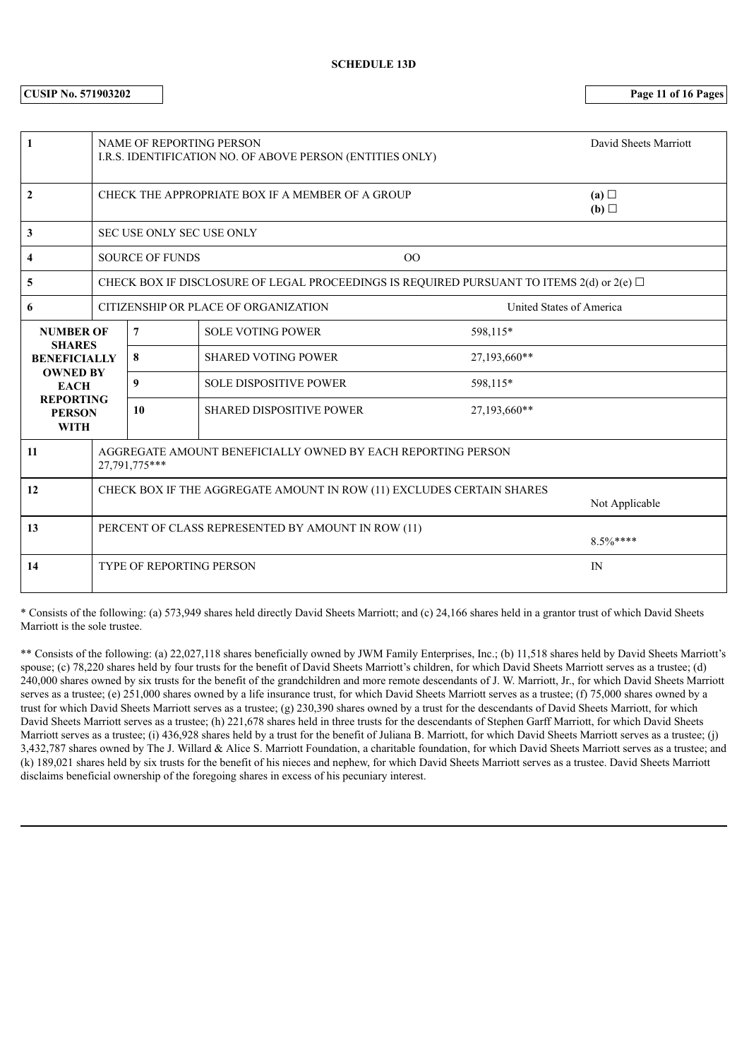**CUSIP No. 571903202 Page 11 of 16 Pages**

| 1                                                |                                                                                         | <b>NAME OF REPORTING PERSON</b> | I.R.S. IDENTIFICATION NO. OF ABOVE PERSON (ENTITIES ONLY) | David Sheets Marriott                                                                              |  |
|--------------------------------------------------|-----------------------------------------------------------------------------------------|---------------------------------|-----------------------------------------------------------|----------------------------------------------------------------------------------------------------|--|
| 2                                                |                                                                                         |                                 | CHECK THE APPROPRIATE BOX IF A MEMBER OF A GROUP          | (a)<br>(b) $\Box$                                                                                  |  |
| 3                                                |                                                                                         | SEC USE ONLY SEC USE ONLY       |                                                           |                                                                                                    |  |
| 4                                                |                                                                                         | <b>SOURCE OF FUNDS</b>          |                                                           | 00                                                                                                 |  |
| 5                                                |                                                                                         |                                 |                                                           | CHECK BOX IF DISCLOSURE OF LEGAL PROCEEDINGS IS REQUIRED PURSUANT TO ITEMS $2(d)$ or $2(e)$ $\Box$ |  |
| 6                                                |                                                                                         |                                 | CITIZENSHIP OR PLACE OF ORGANIZATION                      | United States of America                                                                           |  |
| <b>NUMBER OF</b>                                 |                                                                                         | $\overline{7}$                  | <b>SOLE VOTING POWER</b>                                  | 598,115*                                                                                           |  |
| <b>SHARES</b><br><b>BENEFICIALLY</b>             |                                                                                         | 8                               | <b>SHARED VOTING POWER</b>                                | 27,193,660**                                                                                       |  |
| <b>OWNED BY</b><br><b>EACH</b>                   |                                                                                         | 9                               | <b>SOLE DISPOSITIVE POWER</b>                             | 598,115*                                                                                           |  |
| <b>REPORTING</b><br><b>PERSON</b><br><b>WITH</b> |                                                                                         | 10                              | <b>SHARED DISPOSITIVE POWER</b>                           | 27,193,660**                                                                                       |  |
| 11                                               | AGGREGATE AMOUNT BENEFICIALLY OWNED BY EACH REPORTING PERSON<br>27,791,775***           |                                 |                                                           |                                                                                                    |  |
| 12                                               | CHECK BOX IF THE AGGREGATE AMOUNT IN ROW (11) EXCLUDES CERTAIN SHARES<br>Not Applicable |                                 |                                                           |                                                                                                    |  |
| 13                                               | PERCENT OF CLASS REPRESENTED BY AMOUNT IN ROW (11)<br>$8.5\%***$                        |                                 |                                                           |                                                                                                    |  |
| 14                                               |                                                                                         | <b>TYPE OF REPORTING PERSON</b> |                                                           | IN                                                                                                 |  |

\* Consists of the following: (a) 573,949 shares held directly David Sheets Marriott; and (c) 24,166 shares held in a grantor trust of which David Sheets Marriott is the sole trustee.

\*\* Consists of the following: (a) 22,027,118 shares beneficially owned by JWM Family Enterprises, Inc.; (b) 11,518 shares held by David Sheets Marriott's spouse; (c) 78,220 shares held by four trusts for the benefit of David Sheets Marriott's children, for which David Sheets Marriott serves as a trustee; (d) 240,000 shares owned by six trusts for the benefit of the grandchildren and more remote descendants of J. W. Marriott, Jr., for which David Sheets Marriott serves as a trustee; (e) 251,000 shares owned by a life insurance trust, for which David Sheets Marriott serves as a trustee; (f) 75,000 shares owned by a trust for which David Sheets Marriott serves as a trustee; (g) 230,390 shares owned by a trust for the descendants of David Sheets Marriott, for which David Sheets Marriott serves as a trustee; (h) 221,678 shares held in three trusts for the descendants of Stephen Garff Marriott, for which David Sheets Marriott serves as a trustee; (i) 436,928 shares held by a trust for the benefit of Juliana B. Marriott, for which David Sheets Marriott serves as a trustee; (j) 3,432,787 shares owned by The J. Willard & Alice S. Marriott Foundation, a charitable foundation, for which David Sheets Marriott serves as a trustee; and (k) 189,021 shares held by six trusts for the benefit of his nieces and nephew, for which David Sheets Marriott serves as a trustee. David Sheets Marriott disclaims beneficial ownership of the foregoing shares in excess of his pecuniary interest.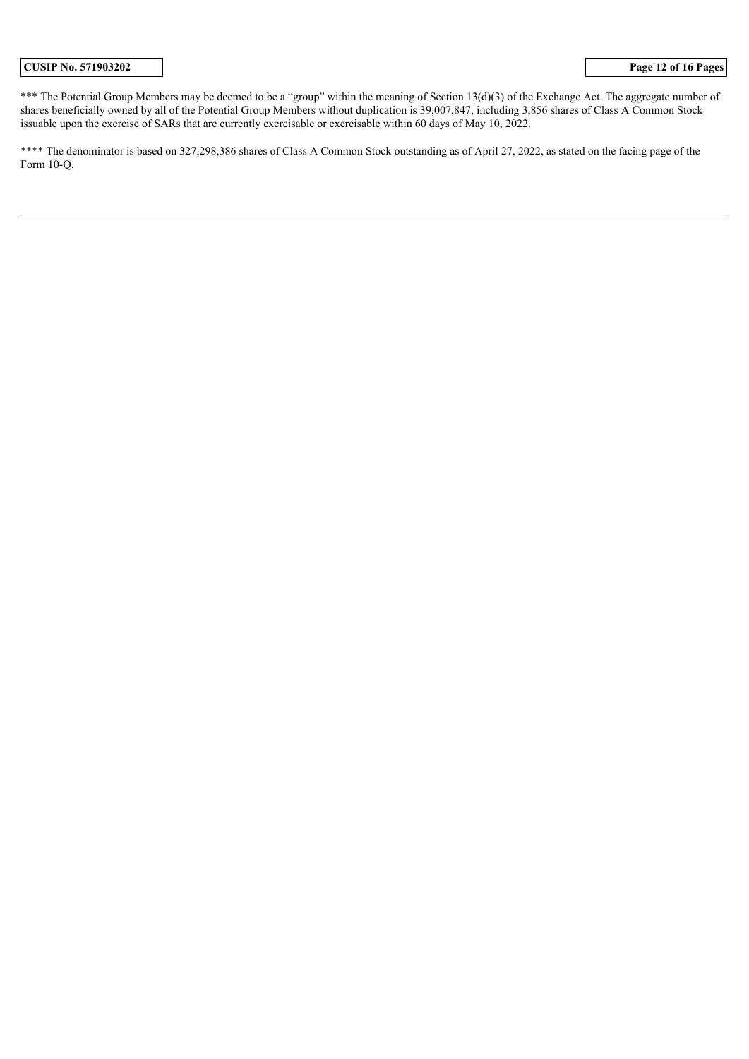\*\*\* The Potential Group Members may be deemed to be a "group" within the meaning of Section 13(d)(3) of the Exchange Act. The aggregate number of shares beneficially owned by all of the Potential Group Members without duplication is 39,007,847, including 3,856 shares of Class A Common Stock issuable upon the exercise of SARs that are currently exercisable or exercisable within 60 days of May 10, 2022.

\*\*\*\* The denominator is based on 327,298,386 shares of Class A Common Stock outstanding as of April 27, 2022, as stated on the facing page of the Form 10-Q.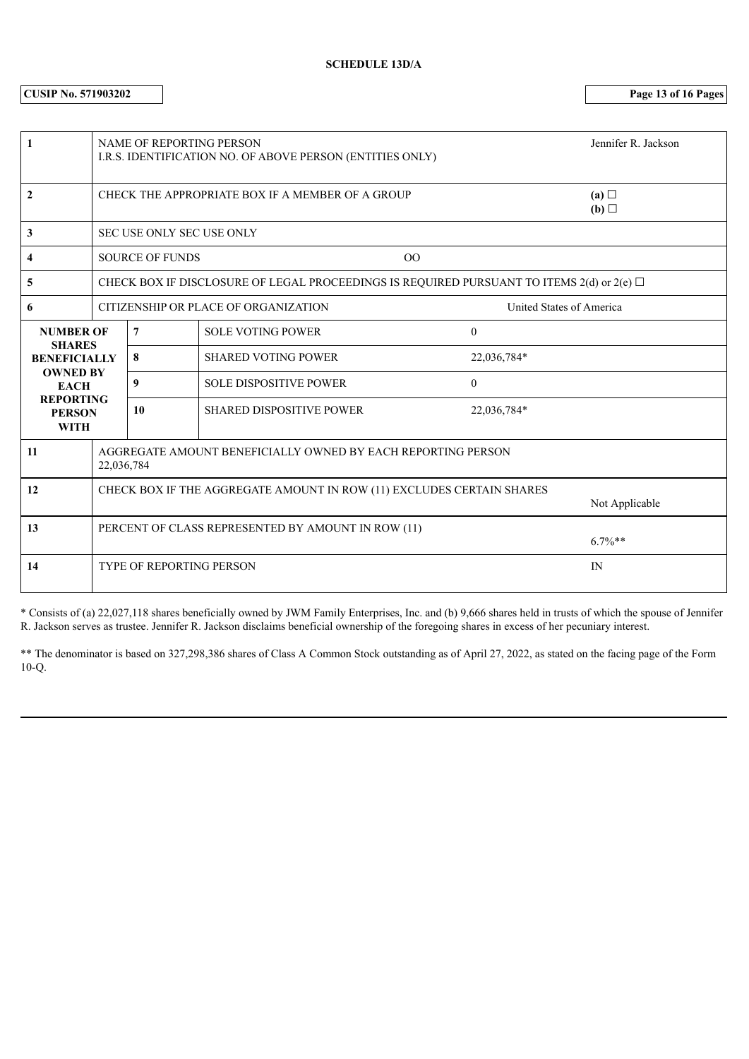**CUSIP No. 571903202 Page 13 of 16 Pages**

| 1                                                |                                                                                         | <b>NAME OF REPORTING PERSON</b> | I.R.S. IDENTIFICATION NO. OF ABOVE PERSON (ENTITIES ONLY)                                          |                          | Jennifer R. Jackson |
|--------------------------------------------------|-----------------------------------------------------------------------------------------|---------------------------------|----------------------------------------------------------------------------------------------------|--------------------------|---------------------|
| 2                                                |                                                                                         |                                 | CHECK THE APPROPRIATE BOX IF A MEMBER OF A GROUP                                                   |                          | (a)<br>(b)          |
| 3                                                |                                                                                         | SEC USE ONLY SEC USE ONLY       |                                                                                                    |                          |                     |
| 4                                                |                                                                                         | <b>SOURCE OF FUNDS</b>          | 00                                                                                                 |                          |                     |
| 5                                                |                                                                                         |                                 | CHECK BOX IF DISCLOSURE OF LEGAL PROCEEDINGS IS REQUIRED PURSUANT TO ITEMS $2(d)$ or $2(e)$ $\Box$ |                          |                     |
| 6                                                | CITIZENSHIP OR PLACE OF ORGANIZATION                                                    |                                 |                                                                                                    | United States of America |                     |
| <b>NUMBER OF</b><br><b>SHARES</b>                |                                                                                         | $\overline{7}$                  | <b>SOLE VOTING POWER</b>                                                                           | $\mathbf{0}$             |                     |
| <b>BENEFICIALLY</b>                              |                                                                                         | 8                               | <b>SHARED VOTING POWER</b>                                                                         | 22,036,784*              |                     |
| <b>OWNED BY</b><br><b>EACH</b>                   |                                                                                         | 9                               | <b>SOLE DISPOSITIVE POWER</b>                                                                      | $\mathbf{0}$             |                     |
| <b>REPORTING</b><br><b>PERSON</b><br><b>WITH</b> |                                                                                         | 10                              | <b>SHARED DISPOSITIVE POWER</b>                                                                    | 22,036,784*              |                     |
| 11                                               | AGGREGATE AMOUNT BENEFICIALLY OWNED BY EACH REPORTING PERSON<br>22,036,784              |                                 |                                                                                                    |                          |                     |
| 12                                               | CHECK BOX IF THE AGGREGATE AMOUNT IN ROW (11) EXCLUDES CERTAIN SHARES<br>Not Applicable |                                 |                                                                                                    |                          |                     |
| 13                                               | PERCENT OF CLASS REPRESENTED BY AMOUNT IN ROW (11)<br>$6.7\%**$                         |                                 |                                                                                                    |                          |                     |
| 14                                               |                                                                                         | <b>TYPE OF REPORTING PERSON</b> |                                                                                                    |                          | IN                  |

\* Consists of (a) 22,027,118 shares beneficially owned by JWM Family Enterprises, Inc. and (b) 9,666 shares held in trusts of which the spouse of Jennifer R. Jackson serves as trustee. Jennifer R. Jackson disclaims beneficial ownership of the foregoing shares in excess of her pecuniary interest.

\*\* The denominator is based on 327,298,386 shares of Class A Common Stock outstanding as of April 27, 2022, as stated on the facing page of the Form 10-Q.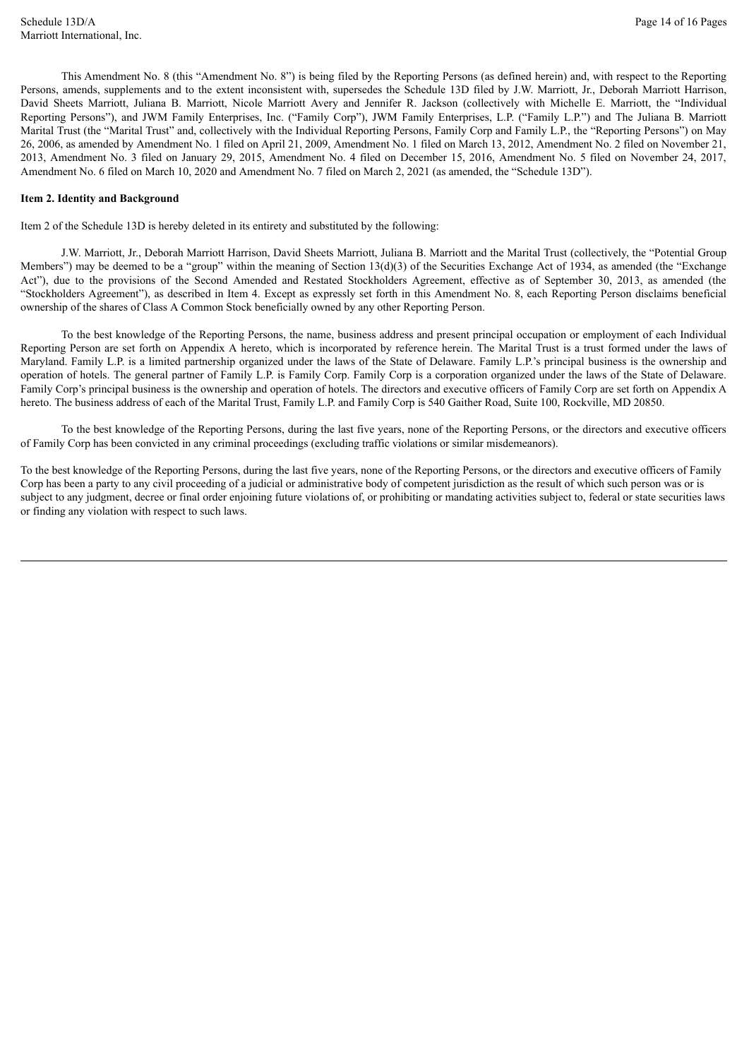This Amendment No. 8 (this "Amendment No. 8") is being filed by the Reporting Persons (as defined herein) and, with respect to the Reporting Persons, amends, supplements and to the extent inconsistent with, supersedes the Schedule 13D filed by J.W. Marriott, Jr., Deborah Marriott Harrison, David Sheets Marriott, Juliana B. Marriott, Nicole Marriott Avery and Jennifer R. Jackson (collectively with Michelle E. Marriott, the "Individual Reporting Persons"), and JWM Family Enterprises, Inc. ("Family Corp"), JWM Family Enterprises, L.P. ("Family L.P.") and The Juliana B. Marriott Marital Trust (the "Marital Trust" and, collectively with the Individual Reporting Persons, Family Corp and Family L.P., the "Reporting Persons") on May 26, 2006, as amended by Amendment No. 1 filed on April 21, 2009, Amendment No. 1 filed on March 13, 2012, Amendment No. 2 filed on November 21, 2013, Amendment No. 3 filed on January 29, 2015, Amendment No. 4 filed on December 15, 2016, Amendment No. 5 filed on November 24, 2017, Amendment No. 6 filed on March 10, 2020 and Amendment No. 7 filed on March 2, 2021 (as amended, the "Schedule 13D").

#### **Item 2. Identity and Background**

Item 2 of the Schedule 13D is hereby deleted in its entirety and substituted by the following:

J.W. Marriott, Jr., Deborah Marriott Harrison, David Sheets Marriott, Juliana B. Marriott and the Marital Trust (collectively, the "Potential Group Members") may be deemed to be a "group" within the meaning of Section 13(d)(3) of the Securities Exchange Act of 1934, as amended (the "Exchange Act"), due to the provisions of the Second Amended and Restated Stockholders Agreement, effective as of September 30, 2013, as amended (the "Stockholders Agreement"), as described in Item 4. Except as expressly set forth in this Amendment No. 8, each Reporting Person disclaims beneficial ownership of the shares of Class A Common Stock beneficially owned by any other Reporting Person.

To the best knowledge of the Reporting Persons, the name, business address and present principal occupation or employment of each Individual Reporting Person are set forth on Appendix A hereto, which is incorporated by reference herein. The Marital Trust is a trust formed under the laws of Maryland. Family L.P. is a limited partnership organized under the laws of the State of Delaware. Family L.P.'s principal business is the ownership and operation of hotels. The general partner of Family L.P. is Family Corp. Family Corp is a corporation organized under the laws of the State of Delaware. Family Corp's principal business is the ownership and operation of hotels. The directors and executive officers of Family Corp are set forth on Appendix A hereto. The business address of each of the Marital Trust, Family L.P. and Family Corp is 540 Gaither Road, Suite 100, Rockville, MD 20850.

To the best knowledge of the Reporting Persons, during the last five years, none of the Reporting Persons, or the directors and executive officers of Family Corp has been convicted in any criminal proceedings (excluding traffic violations or similar misdemeanors).

To the best knowledge of the Reporting Persons, during the last five years, none of the Reporting Persons, or the directors and executive officers of Family Corp has been a party to any civil proceeding of a judicial or administrative body of competent jurisdiction as the result of which such person was or is subject to any judgment, decree or final order enjoining future violations of, or prohibiting or mandating activities subject to, federal or state securities laws or finding any violation with respect to such laws.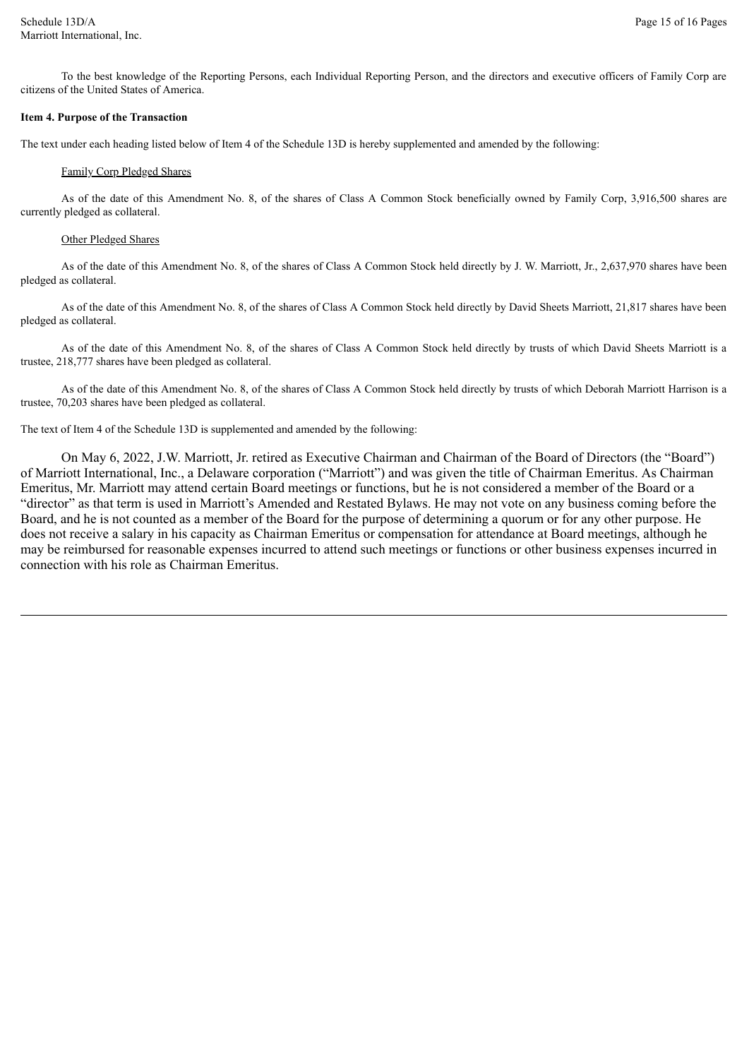To the best knowledge of the Reporting Persons, each Individual Reporting Person, and the directors and executive officers of Family Corp are citizens of the United States of America.

#### **Item 4. Purpose of the Transaction**

The text under each heading listed below of Item 4 of the Schedule 13D is hereby supplemented and amended by the following:

#### Family Corp Pledged Shares

As of the date of this Amendment No. 8, of the shares of Class A Common Stock beneficially owned by Family Corp, 3,916,500 shares are currently pledged as collateral.

#### Other Pledged Shares

As of the date of this Amendment No. 8, of the shares of Class A Common Stock held directly by J. W. Marriott, Jr., 2,637,970 shares have been pledged as collateral.

As of the date of this Amendment No. 8, of the shares of Class A Common Stock held directly by David Sheets Marriott, 21,817 shares have been pledged as collateral.

As of the date of this Amendment No. 8, of the shares of Class A Common Stock held directly by trusts of which David Sheets Marriott is a trustee, 218,777 shares have been pledged as collateral.

As of the date of this Amendment No. 8, of the shares of Class A Common Stock held directly by trusts of which Deborah Marriott Harrison is a trustee, 70,203 shares have been pledged as collateral.

The text of Item 4 of the Schedule 13D is supplemented and amended by the following:

On May 6, 2022, J.W. Marriott, Jr. retired as Executive Chairman and Chairman of the Board of Directors (the "Board") of Marriott International, Inc., a Delaware corporation ("Marriott") and was given the title of Chairman Emeritus. As Chairman Emeritus, Mr. Marriott may attend certain Board meetings or functions, but he is not considered a member of the Board or a "director" as that term is used in Marriott's Amended and Restated Bylaws. He may not vote on any business coming before the Board, and he is not counted as a member of the Board for the purpose of determining a quorum or for any other purpose. He does not receive a salary in his capacity as Chairman Emeritus or compensation for attendance at Board meetings, although he may be reimbursed for reasonable expenses incurred to attend such meetings or functions or other business expenses incurred in connection with his role as Chairman Emeritus.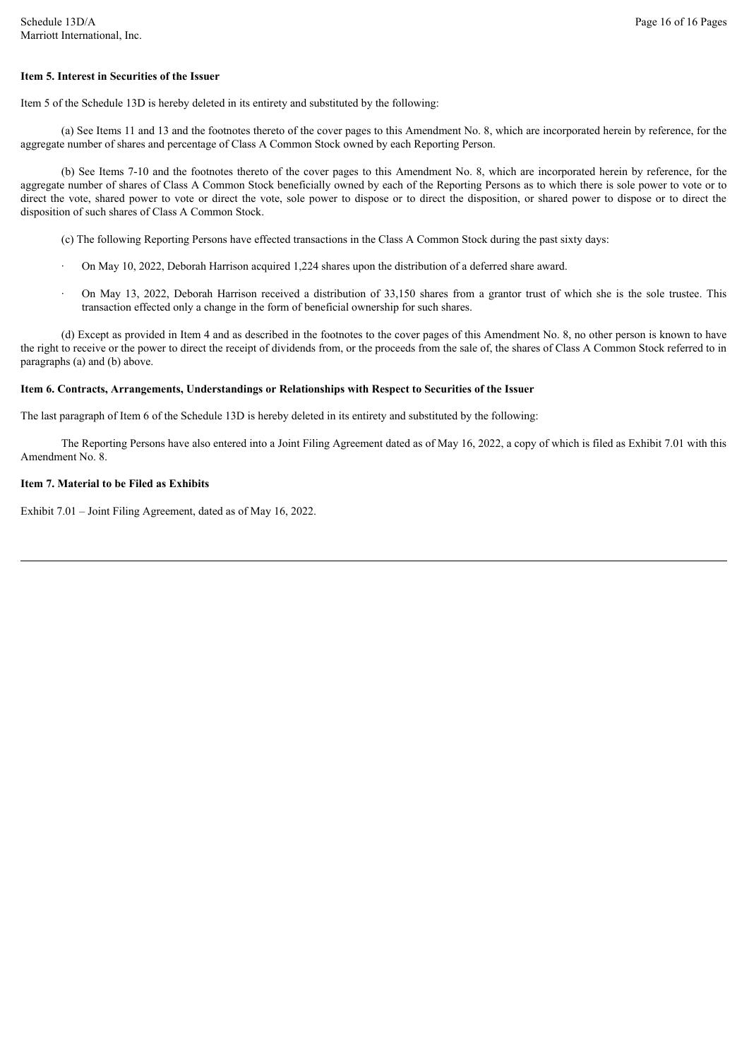#### **Item 5. Interest in Securities of the Issuer**

Item 5 of the Schedule 13D is hereby deleted in its entirety and substituted by the following:

(a) See Items 11 and 13 and the footnotes thereto of the cover pages to this Amendment No. 8, which are incorporated herein by reference, for the aggregate number of shares and percentage of Class A Common Stock owned by each Reporting Person.

(b) See Items 7-10 and the footnotes thereto of the cover pages to this Amendment No. 8, which are incorporated herein by reference, for the aggregate number of shares of Class A Common Stock beneficially owned by each of the Reporting Persons as to which there is sole power to vote or to direct the vote, shared power to vote or direct the vote, sole power to dispose or to direct the disposition, or shared power to dispose or to direct the disposition of such shares of Class A Common Stock.

(c) The following Reporting Persons have effected transactions in the Class A Common Stock during the past sixty days:

- On May 10, 2022, Deborah Harrison acquired 1,224 shares upon the distribution of a deferred share award.
- · On May 13, 2022, Deborah Harrison received a distribution of 33,150 shares from a grantor trust of which she is the sole trustee. This transaction effected only a change in the form of beneficial ownership for such shares.

(d) Except as provided in Item 4 and as described in the footnotes to the cover pages of this Amendment No. 8, no other person is known to have the right to receive or the power to direct the receipt of dividends from, or the proceeds from the sale of, the shares of Class A Common Stock referred to in paragraphs (a) and (b) above.

#### **Item 6. Contracts, Arrangements, Understandings or Relationships with Respect to Securities of the Issuer**

The last paragraph of Item 6 of the Schedule 13D is hereby deleted in its entirety and substituted by the following:

The Reporting Persons have also entered into a Joint Filing Agreement dated as of May 16, 2022, a copy of which is filed as Exhibit 7.01 with this Amendment No. 8.

#### **Item 7. Material to be Filed as Exhibits**

Exhibit 7.01 – Joint Filing Agreement, dated as of May 16, 2022.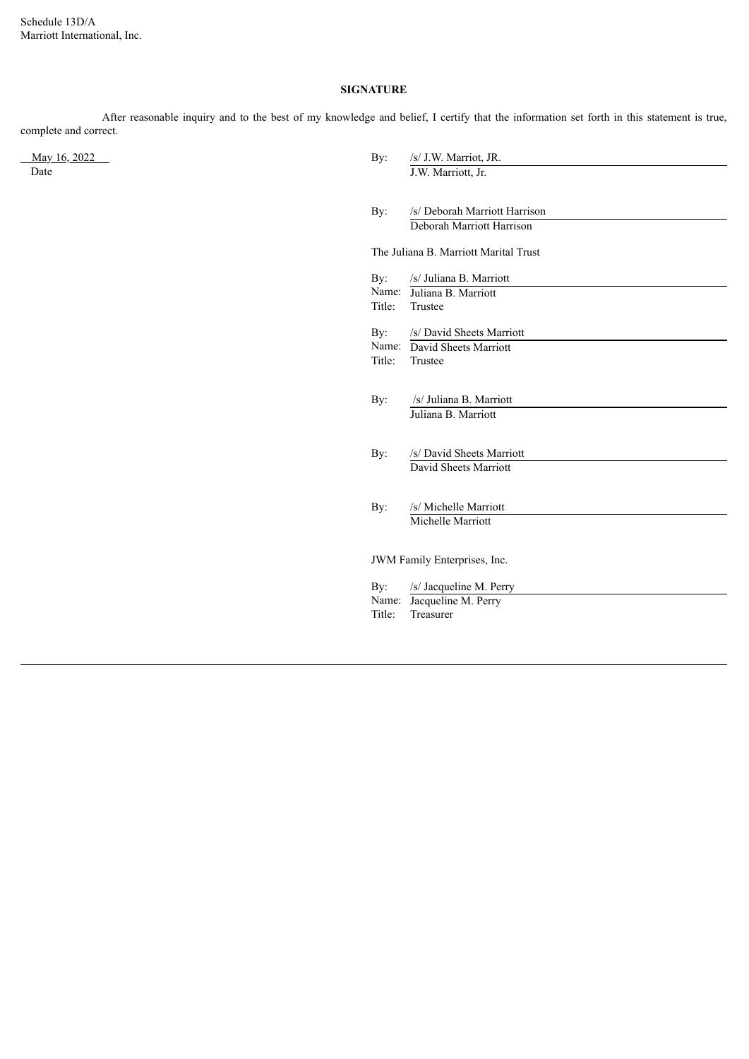Schedule 13D/A Marriott International, Inc.

# **SIGNATURE**

After reasonable inquiry and to the best of my knowledge and belief, I certify that the information set forth in this statement is true, complete and correct.

May 16, 2022<br>Date

| May 16, 2022<br>Date | By:                    | /s/ J.W. Marriot, JR.<br>J.W. Marriott, Jr.                         |
|----------------------|------------------------|---------------------------------------------------------------------|
|                      | By:                    | /s/ Deborah Marriott Harrison<br>Deborah Marriott Harrison          |
|                      |                        | The Juliana B. Marriott Marital Trust                               |
|                      | By:<br>Name:<br>Title: | /s/ Juliana B. Marriott<br>Juliana B. Marriott<br>Trustee           |
|                      | By:<br>Title:          | /s/ David Sheets Marriott<br>Name: David Sheets Marriott<br>Trustee |
|                      | By:                    | /s/ Juliana B. Marriott<br>Juliana B. Marriott                      |
|                      | By:                    | /s/ David Sheets Marriott<br>David Sheets Marriott                  |
|                      | By:                    | /s/ Michelle Marriott<br>Michelle Marriott                          |
|                      |                        | JWM Family Enterprises, Inc.                                        |
|                      | By:<br>Name:<br>Title: | /s/ Jacqueline M. Perry<br>Jacqueline M. Perry<br>Treasurer         |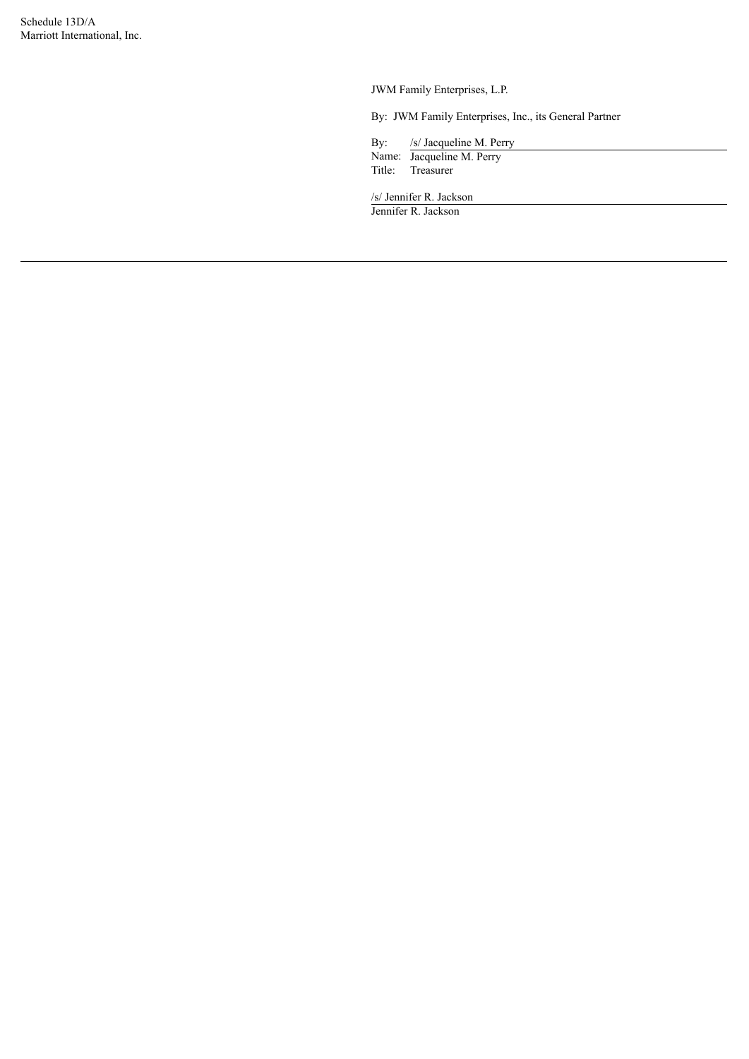JWM Family Enterprises, L.P.

By: JWM Family Enterprises, Inc., its General Partner

By: /s/ Jacqueline M. Perry

Name: Jacqueline M. Perry Title: Treasurer

/s/ Jennifer R. Jackson

Jennifer R. Jackson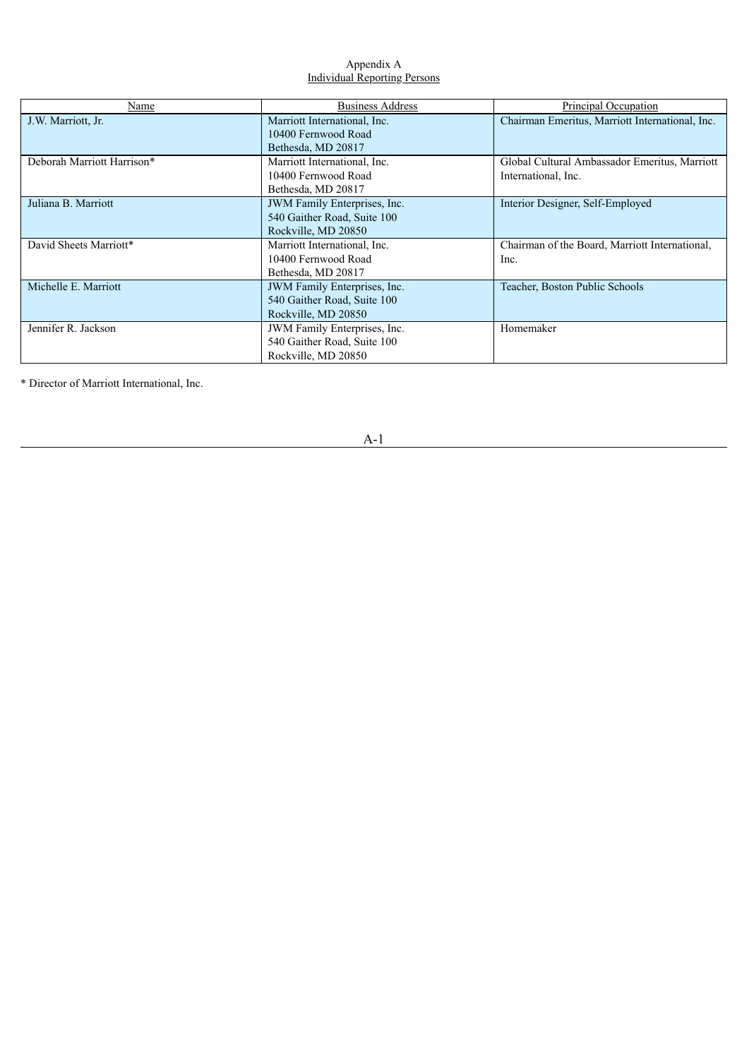## Appendix A Individual Reporting Persons

| Name                       | <b>Business Address</b>                                                            | Principal Occupation                                                 |
|----------------------------|------------------------------------------------------------------------------------|----------------------------------------------------------------------|
| J.W. Marriott, Jr.         | Marriott International, Inc.<br>10400 Fernwood Road<br>Bethesda, MD 20817          | Chairman Emeritus, Marriott International, Inc.                      |
| Deborah Marriott Harrison* | Marriott International, Inc.<br>10400 Fernwood Road<br>Bethesda, MD 20817          | Global Cultural Ambassador Emeritus, Marriott<br>International, Inc. |
| Juliana B. Marriott        | JWM Family Enterprises, Inc.<br>540 Gaither Road, Suite 100<br>Rockville, MD 20850 | Interior Designer, Self-Employed                                     |
| David Sheets Marriott*     | Marriott International, Inc.<br>10400 Fernwood Road<br>Bethesda, MD 20817          | Chairman of the Board, Marriott International,<br>Inc.               |
| Michelle E. Marriott       | JWM Family Enterprises, Inc.<br>540 Gaither Road, Suite 100<br>Rockville, MD 20850 | Teacher, Boston Public Schools                                       |
| Jennifer R. Jackson        | JWM Family Enterprises, Inc.<br>540 Gaither Road, Suite 100<br>Rockville, MD 20850 | Homemaker                                                            |

\* Director of Marriott International, Inc.

A-1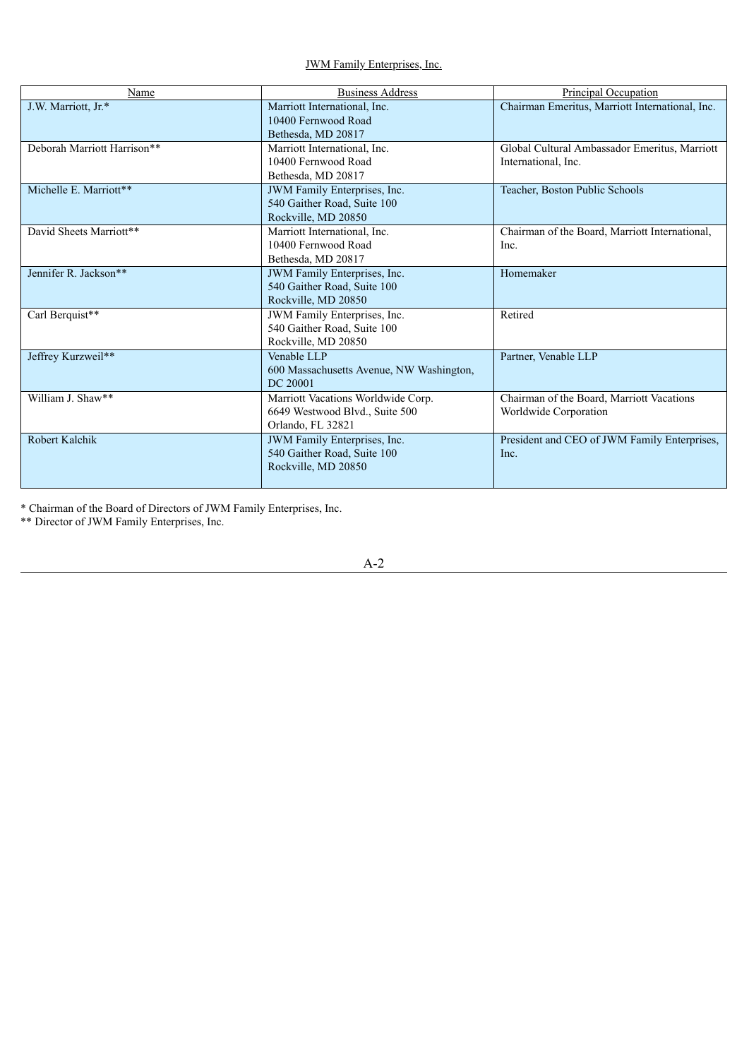JWM Family Enterprises, Inc.

| Name                        | <b>Business Address</b>                  | Principal Occupation                            |
|-----------------------------|------------------------------------------|-------------------------------------------------|
| J.W. Marriott, Jr.*         | Marriott International, Inc.             | Chairman Emeritus, Marriott International, Inc. |
|                             | 10400 Fernwood Road                      |                                                 |
|                             | Bethesda, MD 20817                       |                                                 |
| Deborah Marriott Harrison** | Marriott International, Inc.             | Global Cultural Ambassador Emeritus, Marriott   |
|                             | 10400 Fernwood Road                      | International, Inc.                             |
|                             | Bethesda, MD 20817                       |                                                 |
| Michelle E. Marriott**      | JWM Family Enterprises, Inc.             | Teacher, Boston Public Schools                  |
|                             | 540 Gaither Road, Suite 100              |                                                 |
|                             | Rockville, MD 20850                      |                                                 |
| David Sheets Marriott**     | Marriott International, Inc.             | Chairman of the Board, Marriott International,  |
|                             | 10400 Fernwood Road                      | Inc.                                            |
|                             | Bethesda, MD 20817                       |                                                 |
| Jennifer R. Jackson**       | JWM Family Enterprises, Inc.             | Homemaker                                       |
|                             | 540 Gaither Road, Suite 100              |                                                 |
|                             | Rockville, MD 20850                      |                                                 |
| Carl Berquist**             | <b>JWM</b> Family Enterprises, Inc.      | Retired                                         |
|                             | 540 Gaither Road, Suite 100              |                                                 |
|                             | Rockville, MD 20850                      |                                                 |
| Jeffrey Kurzweil**          | Venable LLP                              | Partner, Venable LLP                            |
|                             | 600 Massachusetts Avenue, NW Washington, |                                                 |
|                             | DC 20001                                 |                                                 |
| William J. Shaw**           | Marriott Vacations Worldwide Corp.       | Chairman of the Board, Marriott Vacations       |
|                             | 6649 Westwood Blvd., Suite 500           | Worldwide Corporation                           |
|                             | Orlando, FL 32821                        |                                                 |
| Robert Kalchik              | JWM Family Enterprises, Inc.             | President and CEO of JWM Family Enterprises,    |
|                             | 540 Gaither Road, Suite 100              | Inc.                                            |
|                             | Rockville, MD 20850                      |                                                 |
|                             |                                          |                                                 |

\* Chairman of the Board of Directors of JWM Family Enterprises, Inc.

\*\* Director of JWM Family Enterprises, Inc.

A-2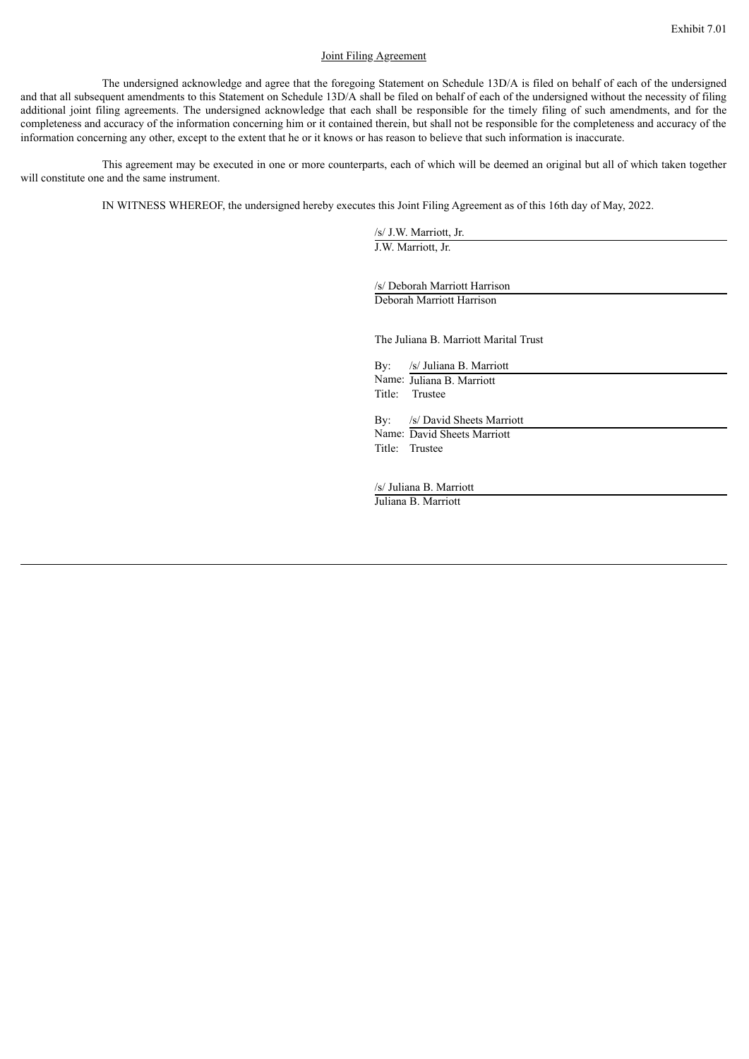#### Joint Filing Agreement

The undersigned acknowledge and agree that the foregoing Statement on Schedule 13D/A is filed on behalf of each of the undersigned and that all subsequent amendments to this Statement on Schedule 13D/A shall be filed on behalf of each of the undersigned without the necessity of filing additional joint filing agreements. The undersigned acknowledge that each shall be responsible for the timely filing of such amendments, and for the completeness and accuracy of the information concerning him or it contained therein, but shall not be responsible for the completeness and accuracy of the information concerning any other, except to the extent that he or it knows or has reason to believe that such information is inaccurate.

This agreement may be executed in one or more counterparts, each of which will be deemed an original but all of which taken together will constitute one and the same instrument.

IN WITNESS WHEREOF, the undersigned hereby executes this Joint Filing Agreement as of this 16th day of May, 2022.

/s/ J.W. Marriott, Jr. J.W. Marriott, Jr.

/s/ Deborah Marriott Harrison Deborah Marriott Harrison

The Juliana B. Marriott Marital Trust

By: /s/ Juliana B. Marriott Name: Juliana B. Marriott Title: Trustee By: /s/ David Sheets Marriott Name: David Sheets Marriott Title: Trustee

/s/ Juliana B. Marriott Juliana B. Marriott